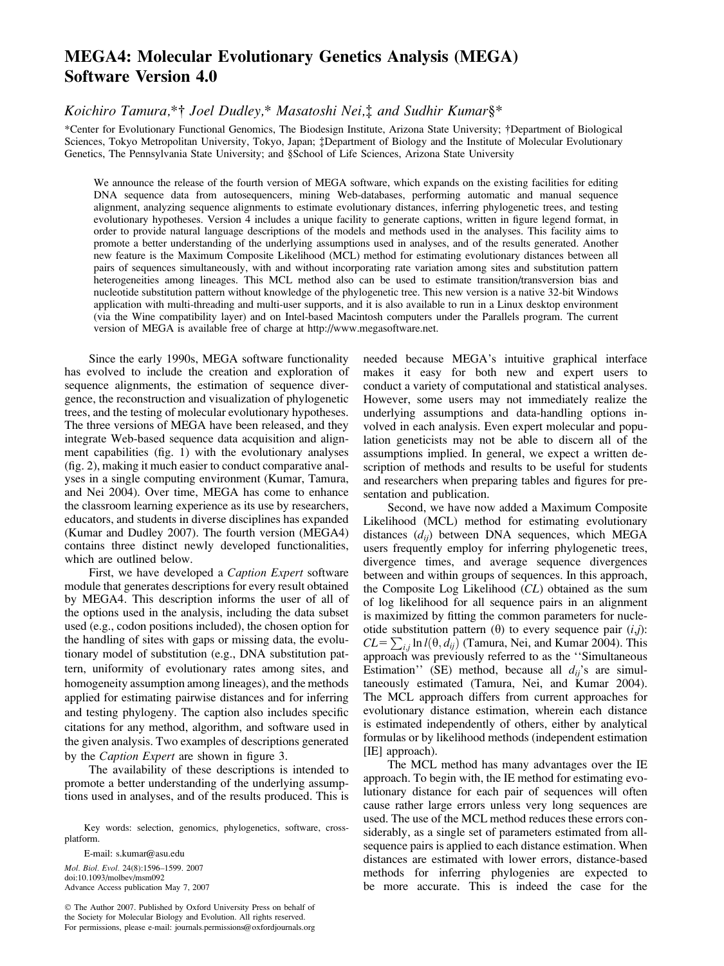## MEGA4: Molecular Evolutionary Genetics Analysis (MEGA) Software Version 4.0

Koichiro Tamura,\*† Joel Dudley,\* Masatoshi Nei,‡ and Sudhir Kumar§\*

\*Center for Evolutionary Functional Genomics, The Biodesign Institute, Arizona State University; †Department of Biological Sciences, Tokyo Metropolitan University, Tokyo, Japan; : Department of Biology and the Institute of Molecular Evolutionary Genetics, The Pennsylvania State University; and §School of Life Sciences, Arizona State University

We announce the release of the fourth version of MEGA software, which expands on the existing facilities for editing DNA sequence data from autosequencers, mining Web-databases, performing automatic and manual sequence alignment, analyzing sequence alignments to estimate evolutionary distances, inferring phylogenetic trees, and testing evolutionary hypotheses. Version 4 includes a unique facility to generate captions, written in figure legend format, in order to provide natural language descriptions of the models and methods used in the analyses. This facility aims to promote a better understanding of the underlying assumptions used in analyses, and of the results generated. Another new feature is the Maximum Composite Likelihood (MCL) method for estimating evolutionary distances between all pairs of sequences simultaneously, with and without incorporating rate variation among sites and substitution pattern heterogeneities among lineages. This MCL method also can be used to estimate transition/transversion bias and nucleotide substitution pattern without knowledge of the phylogenetic tree. This new version is a native 32-bit Windows application with multi-threading and multi-user supports, and it is also available to run in a Linux desktop environment (via the Wine compatibility layer) and on Intel-based Macintosh computers under the Parallels program. The current version of MEGA is available free of charge at [http://www.megasoftware.net.](http://www.megasoftware.net)

Since the early 1990s, MEGA software functionality has evolved to include the creation and exploration of sequence alignments, the estimation of sequence divergence, the reconstruction and visualization of phylogenetic trees, and the testing of molecular evolutionary hypotheses. The three versions of MEGA have been released, and they integrate Web-based sequence data acquisition and alignment capabilities (fig. 1) with the evolutionary analyses (fig. 2), making it much easier to conduct comparative analyses in a single computing environment (Kumar, Tamura, and Nei 2004). Over time, MEGA has come to enhance the classroom learning experience as its use by researchers, educators, and students in diverse disciplines has expanded (Kumar and Dudley 2007). The fourth version (MEGA4) contains three distinct newly developed functionalities, which are outlined below.

First, we have developed a Caption Expert software module that generates descriptions for every result obtained by MEGA4. This description informs the user of all of the options used in the analysis, including the data subset used (e.g., codon positions included), the chosen option for the handling of sites with gaps or missing data, the evolutionary model of substitution (e.g., DNA substitution pattern, uniformity of evolutionary rates among sites, and homogeneity assumption among lineages), and the methods applied for estimating pairwise distances and for inferring and testing phylogeny. The caption also includes specific citations for any method, algorithm, and software used in the given analysis. Two examples of descriptions generated by the Caption Expert are shown in figure 3.

The availability of these descriptions is intended to promote a better understanding of the underlying assumptions used in analyses, and of the results produced. This is

Key words: selection, genomics, phylogenetics, software, crossplatform.

E-mail: s.kumar@asu.edu Mol. Biol. Evol. 24(8):1596–1599. 2007 doi:10.1093/molbev/msm092 Advance Access publication May 7, 2007

 $©$  The Author 2007. Published by Oxford University Press on behalf of the Society for Molecular Biology and Evolution. All rights reserved. For permissions, please e-mail: journals.permissions@oxfordjournals.org needed because MEGA's intuitive graphical interface makes it easy for both new and expert users to conduct a variety of computational and statistical analyses. However, some users may not immediately realize the underlying assumptions and data-handling options involved in each analysis. Even expert molecular and population geneticists may not be able to discern all of the assumptions implied. In general, we expect a written description of methods and results to be useful for students and researchers when preparing tables and figures for presentation and publication.

Second, we have now added a Maximum Composite Likelihood (MCL) method for estimating evolutionary distances  $(d_{ii})$  between DNA sequences, which MEGA users frequently employ for inferring phylogenetic trees, divergence times, and average sequence divergences between and within groups of sequences. In this approach, the Composite Log Likelihood (CL) obtained as the sum of log likelihood for all sequence pairs in an alignment is maximized by fitting the common parameters for nucleotide substitution pattern  $(\theta)$  to every sequence pair  $(i,j)$ : CL=  $\sum_{i,j}$  ln  $l(\theta, d_{ij})$  (Tamura, Nei, and Kumar 2004). This approach was previously referred to as the ''Simultaneous Estimation'' (SE) method, because all  $d_{ij}$ 's are simultaneously estimated (Tamura, Nei, and Kumar 2004). The MCL approach differs from current approaches for evolutionary distance estimation, wherein each distance is estimated independently of others, either by analytical formulas or by likelihood methods (independent estimation [IE] approach).

The MCL method has many advantages over the IE approach. To begin with, the IE method for estimating evolutionary distance for each pair of sequences will often cause rather large errors unless very long sequences are used. The use of the MCL method reduces these errors considerably, as a single set of parameters estimated from allsequence pairs is applied to each distance estimation. When distances are estimated with lower errors, distance-based methods for inferring phylogenies are expected to be more accurate. This is indeed the case for the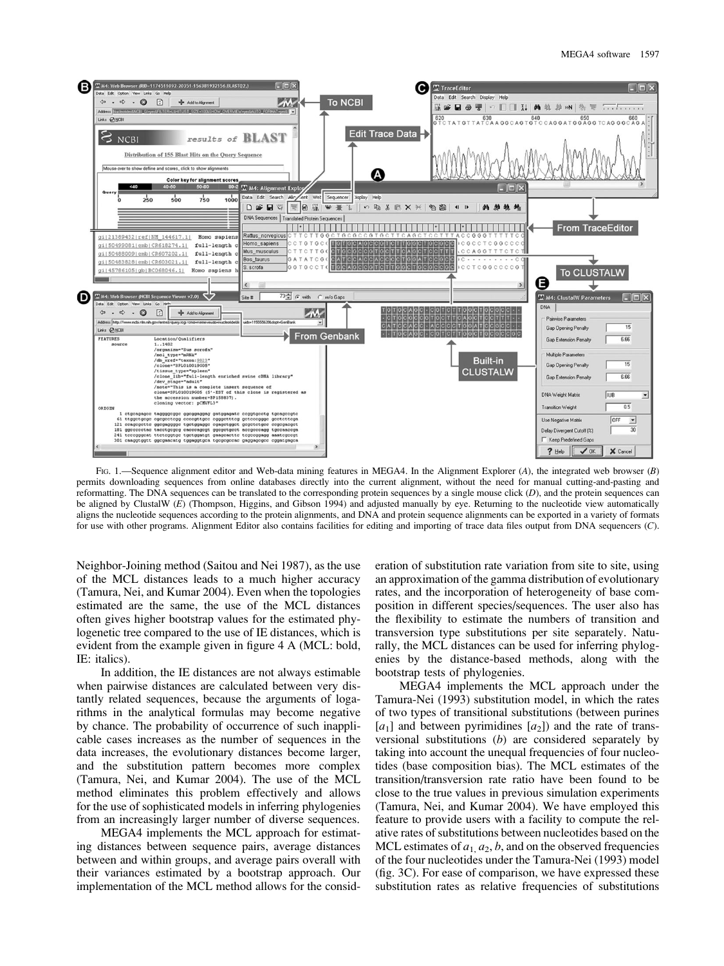

FIG. 1.—Sequence alignment editor and Web-data mining features in MEGA4. In the Alignment Explorer (A), the integrated web browser (B) permits downloading sequences from online databases directly into the current alignment, without the need for manual cutting-and-pasting and reformatting. The DNA sequences can be translated to the corresponding protein sequences by a single mouse click  $(D)$ , and the protein sequences can be aligned by ClustalW (E) (Thompson, Higgins, and Gibson 1994) and adjusted manually by eye. Returning to the nucleotide view automatically aligns the nucleotide sequences according to the protein alignments, and DNA and protein sequence alignments can be exported in a variety of formats for use with other programs. Alignment Editor also contains facilities for editing and importing of trace data files output from DNA sequencers (C).

Neighbor-Joining method (Saitou and Nei 1987), as the use of the MCL distances leads to a much higher accuracy (Tamura, Nei, and Kumar 2004). Even when the topologies estimated are the same, the use of the MCL distances often gives higher bootstrap values for the estimated phylogenetic tree compared to the use of IE distances, which is evident from the example given in figure 4 A (MCL: bold, IE: italics).

In addition, the IE distances are not always estimable when pairwise distances are calculated between very distantly related sequences, because the arguments of logarithms in the analytical formulas may become negative by chance. The probability of occurrence of such inapplicable cases increases as the number of sequences in the data increases, the evolutionary distances become larger, and the substitution pattern becomes more complex (Tamura, Nei, and Kumar 2004). The use of the MCL method eliminates this problem effectively and allows for the use of sophisticated models in inferring phylogenies from an increasingly larger number of diverse sequences.

MEGA4 implements the MCL approach for estimating distances between sequence pairs, average distances between and within groups, and average pairs overall with their variances estimated by a bootstrap approach. Our implementation of the MCL method allows for the consid-

eration of substitution rate variation from site to site, using an approximation of the gamma distribution of evolutionary rates, and the incorporation of heterogeneity of base composition in different species/sequences. The user also has the flexibility to estimate the numbers of transition and transversion type substitutions per site separately. Naturally, the MCL distances can be used for inferring phylogenies by the distance-based methods, along with the bootstrap tests of phylogenies.

MEGA4 implements the MCL approach under the Tamura-Nei (1993) substitution model, in which the rates of two types of transitional substitutions (between purines  $[a_1]$  and between pyrimidines  $[a_2]$ ) and the rate of transversional substitutions (b) are considered separately by taking into account the unequal frequencies of four nucleotides (base composition bias). The MCL estimates of the transition/transversion rate ratio have been found to be close to the true values in previous simulation experiments (Tamura, Nei, and Kumar 2004). We have employed this feature to provide users with a facility to compute the relative rates of substitutions between nucleotides based on the MCL estimates of  $a_1, a_2, b$ , and on the observed frequencies of the four nucleotides under the Tamura-Nei (1993) model (fig. 3C). For ease of comparison, we have expressed these substitution rates as relative frequencies of substitutions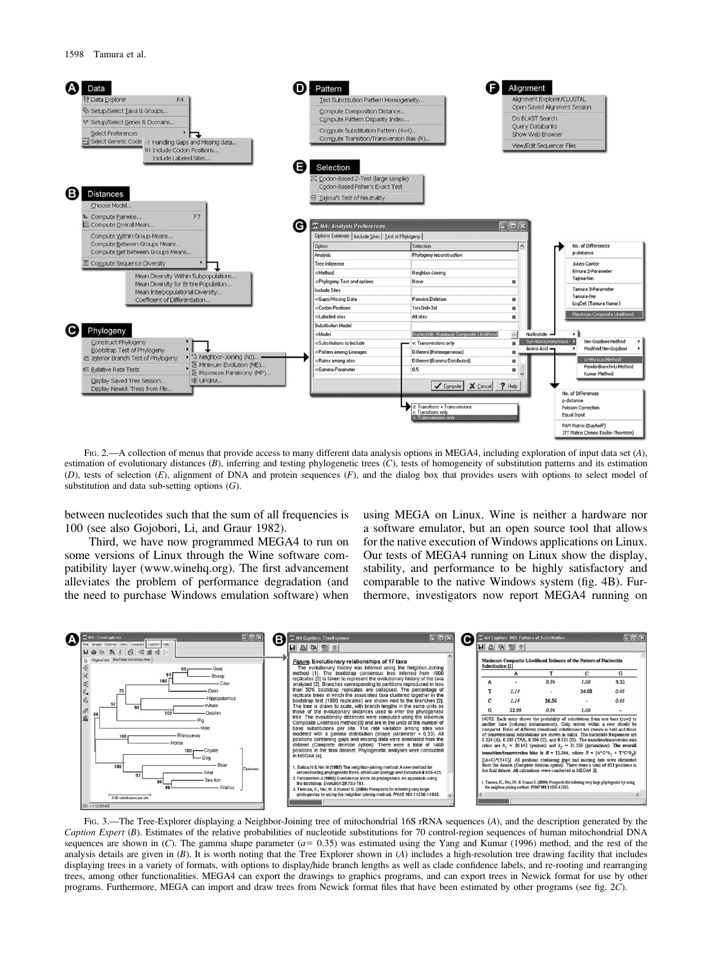

FIG. 2.—A collection of menus that provide access to many different data analysis options in MEGA4, including exploration of input data set (A), estimation of evolutionary distances  $(B)$ , inferring and testing phylogenetic trees  $(C)$ , tests of homogeneity of substitution patterns and its estimation (D), tests of selection  $(E)$ , alignment of DNA and protein sequences  $(F)$ , and the dialog box that provides users with options to select model of substitution and data sub-setting options  $(G)$ .

between nucleotides such that the sum of all frequencies is 100 (see also Gojobori, Li, and Graur 1982).

Third, we have now programmed MEGA4 to run on some versions of Linux through the Wine software compatibility layer [\(www.winehq.org\).](http://www.winehq.org) The first advancement alleviates the problem of performance degradation (and the need to purchase Windows emulation software) when

using MEGA on Linux. Wine is neither a hardware nor a software emulator, but an open source tool that allows for the native execution of Windows applications on Linux. Our tests of MEGA4 running on Linux show the display, stability, and performance to be highly satisfactory and comparable to the native Windows system (fig. 4B). Furthermore, investigators now report MEGA4 running on



FIG. 3.—The Tree-Explorer displaying a Neighbor-Joining tree of mitochondrial 16S rRNA sequences (A), and the description generated by the Caption Expert (B). Estimates of the relative probabilities of nucleotide substitutions for 70 control-region sequences of human mitochondrial DNA sequences are shown in  $(C)$ . The gamma shape parameter  $(a= 0.35)$  was estimated using the Yang and Kumar (1996) method, and the rest of the analysis details are given in  $(B)$ . It is worth noting that the Tree Explorer shown in  $(A)$  includes a high-resolution tree drawing facility that includes displaying trees in a variety of formats, with options to display/hide branch lengths as well as clade confidence labels, and re-rooting and rearranging trees, among other functionalities. MEGA4 can export the drawings to graphics programs, and can export trees in Newick format for use by other programs. Furthermore, MEGA can import and draw trees from Newick format files that have been estimated by other programs (see fig. 2C).